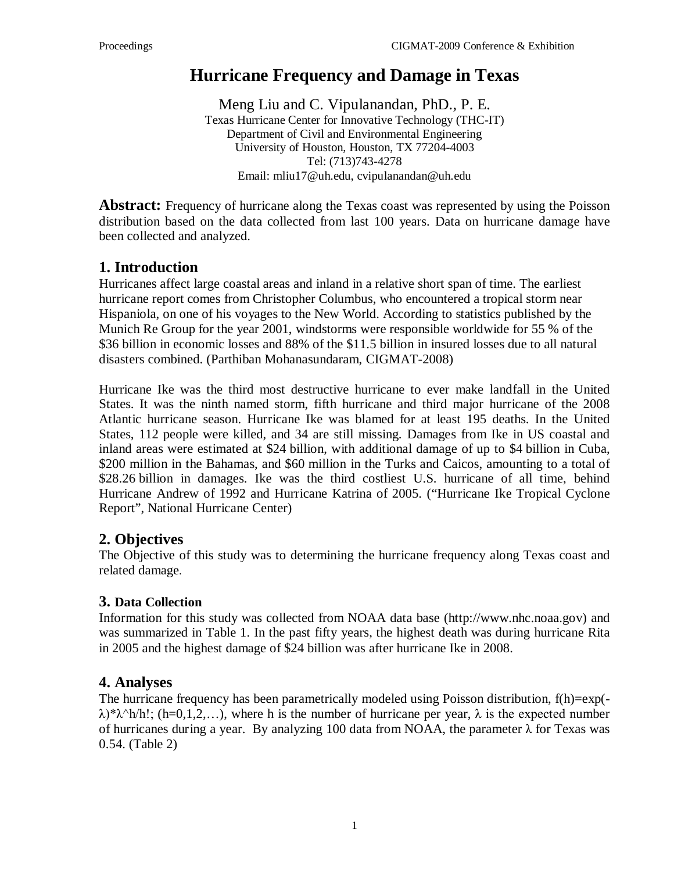# **Hurricane Frequency and Damage in Texas**

Meng Liu and C. Vipulanandan, PhD., P. E. Texas Hurricane Center for Innovative Technology (THC-IT) Department of Civil and Environmental Engineering University of Houston, Houston, TX 77204-4003 Tel: (713)743-4278 Email: [mliu17@uh.edu,](mailto:mliu17@uh.edu) cvipulanandan@uh.edu

**Abstract:** Frequency of hurricane along the Texas coast was represented by using the Poisson distribution based on the data collected from last 100 years. Data on hurricane damage have been collected and analyzed.

### **1. Introduction**

Hurricanes affect large coastal areas and inland in a relative short span of time. The earliest hurricane report comes from Christopher Columbus, who encountered a tropical storm near Hispaniola, on one of his voyages to the New World. According to statistics published by the Munich Re Group for the year 2001, windstorms were responsible worldwide for 55 % of the \$36 billion in economic losses and 88% of the \$11.5 billion in insured losses due to all natural disasters combined. (Parthiban Mohanasundaram, CIGMAT-2008)

Hurricane Ike was the third most destructive hurricane to ever make landfall in the United States. It was the ninth named storm, fifth [hurricane](http://en.wikipedia.org/wiki/Hurricane) and third major hurricane of the [2008](http://en.wikipedia.org/wiki/2008_Atlantic_hurricane_season)  [Atlantic hurricane season.](http://en.wikipedia.org/wiki/2008_Atlantic_hurricane_season) Hurricane Ike was blamed for at least 195 deaths. In the United States, 112 people were killed, and 34 are still missing. Damages from Ike in US coastal and inland areas were estimated at \$24 billion, with additional damage of up to \$4 billion in Cuba, \$200 million in the Bahamas, and \$60 million in the Turks and Caicos, amounting to a total of \$28.26 billion in damages. Ike was the third costliest U.S. hurricane of all time, behind [Hurricane Andrew](http://en.wikipedia.org/wiki/Hurricane_Andrew) of 1992 and [Hurricane Katrina](http://en.wikipedia.org/wiki/Hurricane_Katrina) of 2005. ("Hurricane Ike Tropical Cyclone Report", [National Hurricane Center\)](http://en.wikipedia.org/wiki/National_Hurricane_Center)

### **2. Objectives**

The Objective of this study was to determining the hurricane frequency along Texas coast and related damage.

#### **3. Data Collection**

Information for this study was collected from NOAA data base (http://www.nhc.noaa.gov) and was summarized in Table 1. In the past fifty years, the highest death was during hurricane Rita in 2005 and the highest damage of \$24 billion was after hurricane Ike in 2008.

### **4. Analyses**

The hurricane frequency has been parametrically modeled using Poisson distribution,  $f(h)=exp(-h)$  $\lambda$ <sup>\*</sup> $\lambda$ <sup>^</sup>h/h!; (h=0,1,2,…), where h is the number of hurricane per year,  $\lambda$  is the expected number of hurricanes during a year. By analyzing 100 data from NOAA, the parameter  $\lambda$  for Texas was 0.54. (Table 2)